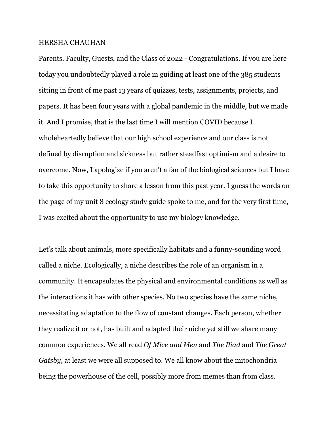## HERSHA CHAUHAN

Parents, Faculty, Guests, and the Class of 2022 - Congratulations. If you are here today you undoubtedly played a role in guiding at least one of the 385 students sitting in front of me past 13 years of quizzes, tests, assignments, projects, and papers. It has been four years with a global pandemic in the middle, but we made it. And I promise, that is the last time I will mention COVID because I wholeheartedly believe that our high school experience and our class is not defined by disruption and sickness but rather steadfast optimism and a desire to overcome. Now, I apologize if you aren't a fan of the biological sciences but I have to take this opportunity to share a lesson from this past year. I guess the words on the page of my unit 8 ecology study guide spoke to me, and for the very first time, I was excited about the opportunity to use my biology knowledge.

Let's talk about animals, more specifically habitats and a funny-sounding word called a niche. Ecologically, a niche describes the role of an organism in a community. It encapsulates the physical and environmental conditions as well as the interactions it has with other species. No two species have the same niche, necessitating adaptation to the flow of constant changes. Each person, whether they realize it or not, has built and adapted their niche yet still we share many common experiences. We all read *Of Mice and Men* and *The Iliad* and *The Great Gatsby*, at least we were all supposed to. We all know about the mitochondria being the powerhouse of the cell, possibly more from memes than from class.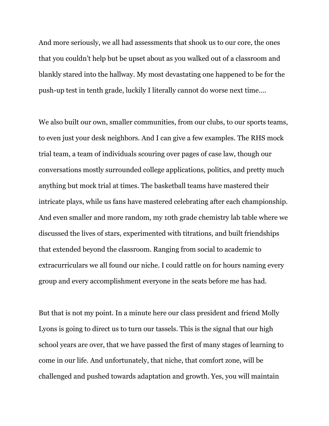And more seriously, we all had assessments that shook us to our core, the ones that you couldn't help but be upset about as you walked out of a classroom and blankly stared into the hallway. My most devastating one happened to be for the push-up test in tenth grade, luckily I literally cannot do worse next time….

We also built our own, smaller communities, from our clubs, to our sports teams, to even just your desk neighbors. And I can give a few examples. The RHS mock trial team, a team of individuals scouring over pages of case law, though our conversations mostly surrounded college applications, politics, and pretty much anything but mock trial at times. The basketball teams have mastered their intricate plays, while us fans have mastered celebrating after each championship. And even smaller and more random, my 10th grade chemistry lab table where we discussed the lives of stars, experimented with titrations, and built friendships that extended beyond the classroom. Ranging from social to academic to extracurriculars we all found our niche. I could rattle on for hours naming every group and every accomplishment everyone in the seats before me has had.

But that is not my point. In a minute here our class president and friend Molly Lyons is going to direct us to turn our tassels. This is the signal that our high school years are over, that we have passed the first of many stages of learning to come in our life. And unfortunately, that niche, that comfort zone, will be challenged and pushed towards adaptation and growth. Yes, you will maintain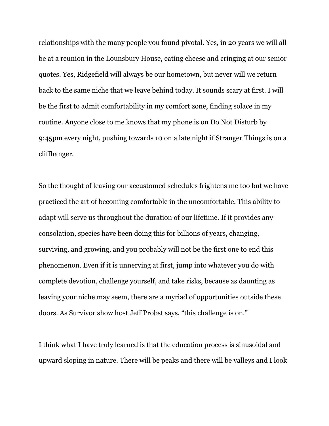relationships with the many people you found pivotal. Yes, in 20 years we will all be at a reunion in the Lounsbury House, eating cheese and cringing at our senior quotes. Yes, Ridgefield will always be our hometown, but never will we return back to the same niche that we leave behind today. It sounds scary at first. I will be the first to admit comfortability in my comfort zone, finding solace in my routine. Anyone close to me knows that my phone is on Do Not Disturb by 9:45pm every night, pushing towards 10 on a late night if Stranger Things is on a cliffhanger.

So the thought of leaving our accustomed schedules frightens me too but we have practiced the art of becoming comfortable in the uncomfortable. This ability to adapt will serve us throughout the duration of our lifetime. If it provides any consolation, species have been doing this for billions of years, changing, surviving, and growing, and you probably will not be the first one to end this phenomenon. Even if it is unnerving at first, jump into whatever you do with complete devotion, challenge yourself, and take risks, because as daunting as leaving your niche may seem, there are a myriad of opportunities outside these doors. As Survivor show host Jeff Probst says, "this challenge is on."

I think what I have truly learned is that the education process is sinusoidal and upward sloping in nature. There will be peaks and there will be valleys and I look